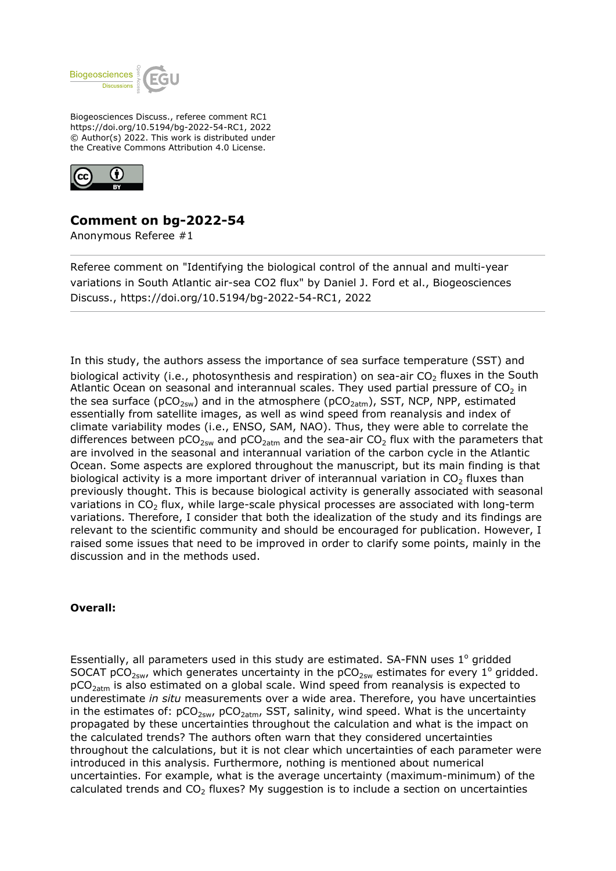

Biogeosciences Discuss., referee comment RC1 https://doi.org/10.5194/bg-2022-54-RC1, 2022 © Author(s) 2022. This work is distributed under the Creative Commons Attribution 4.0 License.



# **Comment on bg-2022-54**

Anonymous Referee #1

Referee comment on "Identifying the biological control of the annual and multi-year variations in South Atlantic air-sea CO2 flux" by Daniel J. Ford et al., Biogeosciences Discuss., https://doi.org/10.5194/bg-2022-54-RC1, 2022

In this study, the authors assess the importance of sea surface temperature (SST) and biological activity (i.e., photosynthesis and respiration) on sea-air  $CO<sub>2</sub>$  fluxes in the South Atlantic Ocean on seasonal and interannual scales. They used partial pressure of  $CO<sub>2</sub>$  in the sea surface ( $pCO_{2sw}$ ) and in the atmosphere ( $pCO_{2atm}$ ), SST, NCP, NPP, estimated essentially from satellite images, as well as wind speed from reanalysis and index of climate variability modes (i.e., ENSO, SAM, NAO). Thus, they were able to correlate the differences between  $pCO_{2sw}$  and  $pCO_{2atm}$  and the sea-air  $CO_2$  flux with the parameters that are involved in the seasonal and interannual variation of the carbon cycle in the Atlantic Ocean. Some aspects are explored throughout the manuscript, but its main finding is that biological activity is a more important driver of interannual variation in  $CO<sub>2</sub>$  fluxes than previously thought. This is because biological activity is generally associated with seasonal variations in  $CO<sub>2</sub>$  flux, while large-scale physical processes are associated with long-term variations. Therefore, I consider that both the idealization of the study and its findings are relevant to the scientific community and should be encouraged for publication. However, I raised some issues that need to be improved in order to clarify some points, mainly in the discussion and in the methods used.

# **Overall:**

Essentially, all parameters used in this study are estimated. SA-FNN uses  $1^{\circ}$  gridded SOCAT pCO<sub>2sw</sub>, which generates uncertainty in the pCO<sub>2sw</sub> estimates for every 1<sup>o</sup> gridded.  $pCO<sub>2atm</sub>$  is also estimated on a global scale. Wind speed from reanalysis is expected to underestimate *in situ* measurements over a wide area. Therefore, you have uncertainties in the estimates of:  $pCO_{2sw}$ ,  $pCO_{2atm}$ , SST, salinity, wind speed. What is the uncertainty propagated by these uncertainties throughout the calculation and what is the impact on the calculated trends? The authors often warn that they considered uncertainties throughout the calculations, but it is not clear which uncertainties of each parameter were introduced in this analysis. Furthermore, nothing is mentioned about numerical uncertainties. For example, what is the average uncertainty (maximum-minimum) of the calculated trends and  $CO<sub>2</sub>$  fluxes? My suggestion is to include a section on uncertainties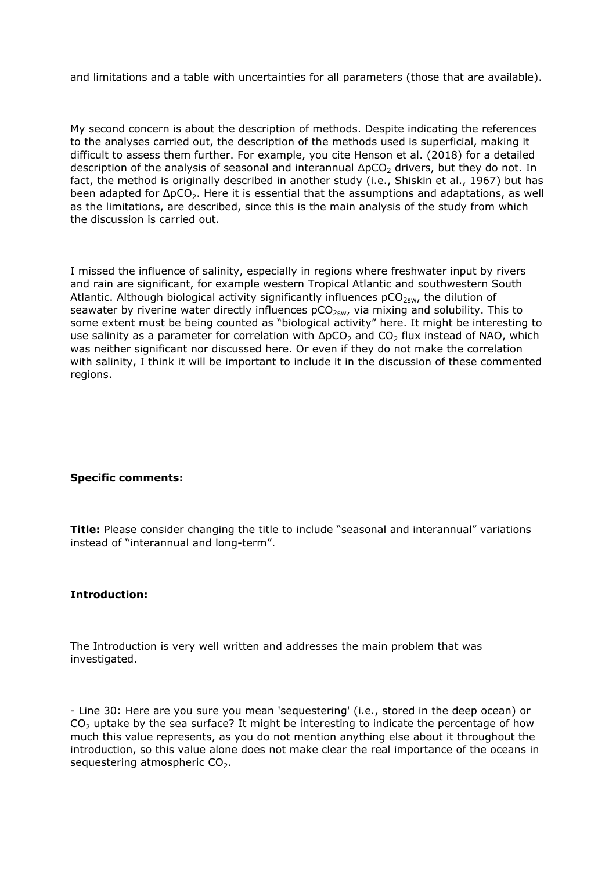and limitations and a table with uncertainties for all parameters (those that are available).

My second concern is about the description of methods. Despite indicating the references to the analyses carried out, the description of the methods used is superficial, making it difficult to assess them further. For example, you cite Henson et al. (2018) for a detailed description of the analysis of seasonal and interannual  $\Delta pCO_2$  drivers, but they do not. In fact, the method is originally described in another study (i.e., Shiskin et al., 1967) but has been adapted for  $\Delta pCO_2$ . Here it is essential that the assumptions and adaptations, as well as the limitations, are described, since this is the main analysis of the study from which the discussion is carried out.

I missed the influence of salinity, especially in regions where freshwater input by rivers and rain are significant, for example western Tropical Atlantic and southwestern South Atlantic. Although biological activity significantly influences  $pCO<sub>2sw</sub>$ , the dilution of seawater by riverine water directly influences  $pCO<sub>2sw</sub>$ , via mixing and solubility. This to some extent must be being counted as "biological activity" here. It might be interesting to use salinity as a parameter for correlation with  $\Delta pCO_2$  and  $CO_2$  flux instead of NAO, which was neither significant nor discussed here. Or even if they do not make the correlation with salinity, I think it will be important to include it in the discussion of these commented regions.

# **Specific comments:**

**Title:** Please consider changing the title to include "seasonal and interannual" variations instead of "interannual and long-term".

# **Introduction:**

The Introduction is very well written and addresses the main problem that was investigated.

- Line 30: Here are you sure you mean 'sequestering' (i.e., stored in the deep ocean) or  $CO<sub>2</sub>$  uptake by the sea surface? It might be interesting to indicate the percentage of how much this value represents, as you do not mention anything else about it throughout the introduction, so this value alone does not make clear the real importance of the oceans in sequestering atmospheric  $CO<sub>2</sub>$ .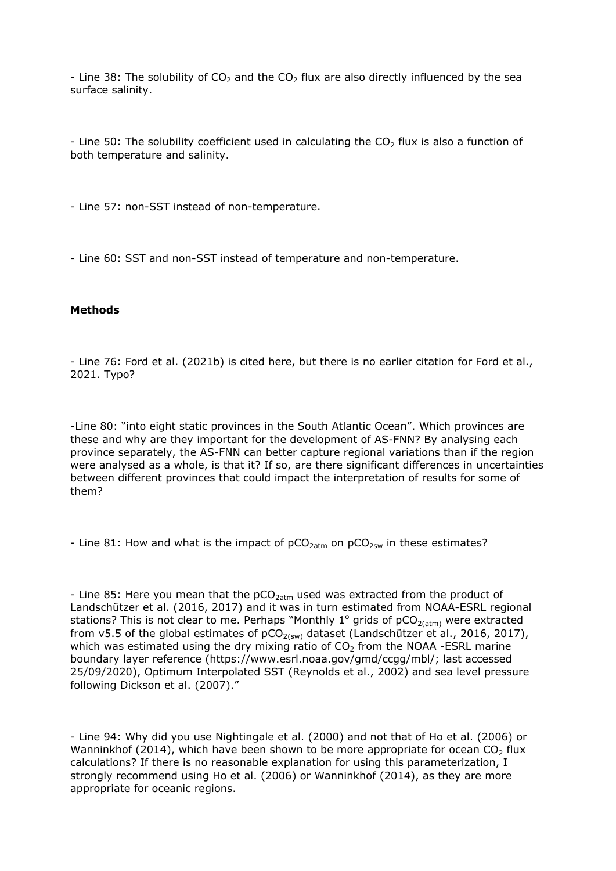- Line 38: The solubility of  $CO<sub>2</sub>$  and the  $CO<sub>2</sub>$  flux are also directly influenced by the sea surface salinity.

- Line 50: The solubility coefficient used in calculating the  $CO<sub>2</sub>$  flux is also a function of both temperature and salinity.

- Line 57: non-SST instead of non-temperature.

- Line 60: SST and non-SST instead of temperature and non-temperature.

#### **Methods**

- Line 76: Ford et al. (2021b) is cited here, but there is no earlier citation for Ford et al., 2021. Typo?

-Line 80: "into eight static provinces in the South Atlantic Ocean". Which provinces are these and why are they important for the development of AS-FNN? By analysing each province separately, the AS-FNN can better capture regional variations than if the region were analysed as a whole, is that it? If so, are there significant differences in uncertainties between different provinces that could impact the interpretation of results for some of them?

- Line 81: How and what is the impact of  $pCO<sub>2atm</sub>$  on  $pCO<sub>2stw</sub>$  in these estimates?

- Line 85: Here you mean that the  $pCO<sub>2atm</sub>$  used was extracted from the product of Landschützer et al. (2016, 2017) and it was in turn estimated from NOAA-ESRL regional stations? This is not clear to me. Perhaps "Monthly 1<sup>o</sup> grids of pCO<sub>2(atm)</sub> were extracted from v5.5 of the global estimates of  $pCO<sub>2(sw)</sub>$  dataset (Landschützer et al., 2016, 2017), which was estimated using the dry mixing ratio of  $CO<sub>2</sub>$  from the NOAA -ESRL marine boundary layer reference (https://www.esrl.noaa.gov/gmd/ccgg/mbl/; last accessed 25/09/2020), Optimum Interpolated SST (Reynolds et al., 2002) and sea level pressure following Dickson et al. (2007)."

- Line 94: Why did you use Nightingale et al. (2000) and not that of Ho et al. (2006) or Wanninkhof (2014), which have been shown to be more appropriate for ocean  $CO<sub>2</sub>$  flux calculations? If there is no reasonable explanation for using this parameterization, I strongly recommend using Ho et al. (2006) or Wanninkhof (2014), as they are more appropriate for oceanic regions.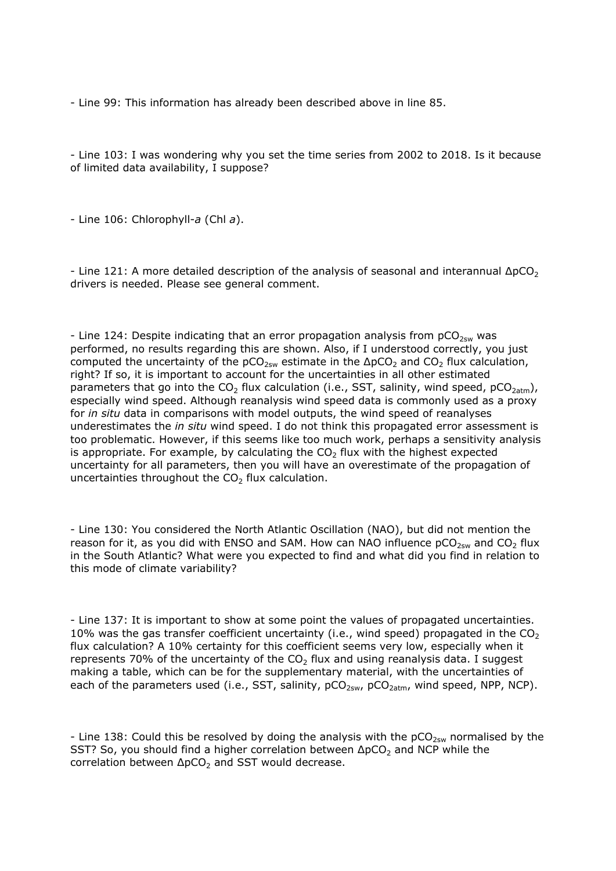- Line 99: This information has already been described above in line 85.

- Line 103: I was wondering why you set the time series from 2002 to 2018. Is it because of limited data availability, I suppose?

- Line 106: Chlorophyll-*a* (Chl *a*).

- Line 121: A more detailed description of the analysis of seasonal and interannual  $\Delta pCO<sub>2</sub>$ drivers is needed. Please see general comment.

- Line 124: Despite indicating that an error propagation analysis from  $pCO<sub>2sw</sub>$  was performed, no results regarding this are shown. Also, if I understood correctly, you just computed the uncertainty of the  $pCO_{2sw}$  estimate in the  $\Delta pCO_2$  and  $CO_2$  flux calculation, right? If so, it is important to account for the uncertainties in all other estimated parameters that go into the  $CO_2$  flux calculation (i.e., SST, salinity, wind speed,  $pCO_{2atm}$ ), especially wind speed. Although reanalysis wind speed data is commonly used as a proxy for *in situ* data in comparisons with model outputs, the wind speed of reanalyses underestimates the *in situ* wind speed. I do not think this propagated error assessment is too problematic. However, if this seems like too much work, perhaps a sensitivity analysis is appropriate. For example, by calculating the  $CO<sub>2</sub>$  flux with the highest expected uncertainty for all parameters, then you will have an overestimate of the propagation of uncertainties throughout the  $CO<sub>2</sub>$  flux calculation.

- Line 130: You considered the North Atlantic Oscillation (NAO), but did not mention the reason for it, as you did with ENSO and SAM. How can NAO influence  $pCO_{2sw}$  and  $CO<sub>2</sub>$  flux in the South Atlantic? What were you expected to find and what did you find in relation to this mode of climate variability?

- Line 137: It is important to show at some point the values of propagated uncertainties. 10% was the gas transfer coefficient uncertainty (i.e., wind speed) propagated in the  $CO<sub>2</sub>$ flux calculation? A 10% certainty for this coefficient seems very low, especially when it represents 70% of the uncertainty of the  $CO<sub>2</sub>$  flux and using reanalysis data. I suggest making a table, which can be for the supplementary material, with the uncertainties of each of the parameters used (i.e., SST, salinity,  $pCO_{2sw}$ ,  $pCO_{2atm}$ , wind speed, NPP, NCP).

- Line 138: Could this be resolved by doing the analysis with the  $pCO_{2sw}$  normalised by the SST? So, you should find a higher correlation between  $\Delta pCO_2$  and NCP while the correlation between  $\Delta pCO<sub>2</sub>$  and SST would decrease.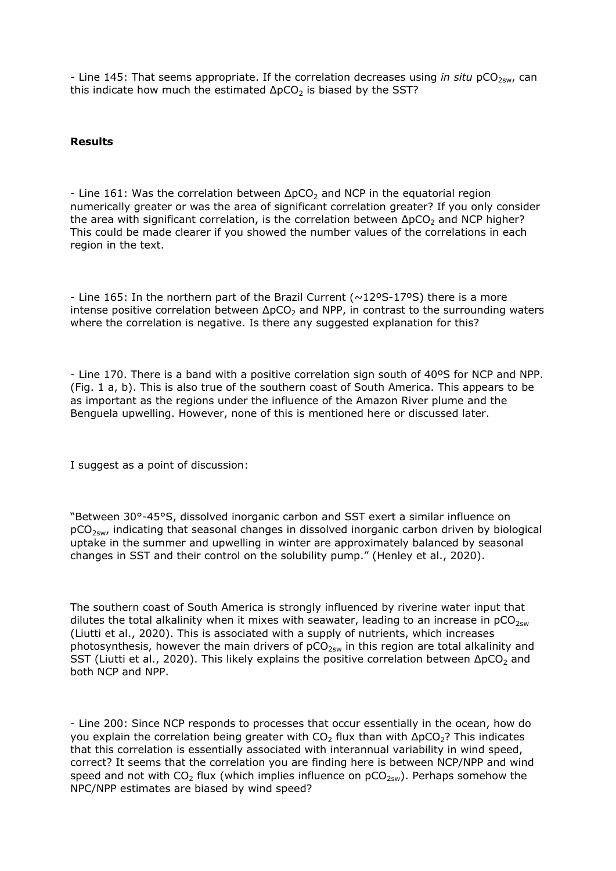- Line 145: That seems appropriate. If the correlation decreases using *in situ* pCO<sub>2sw</sub>, can this indicate how much the estimated  $\Delta pCO<sub>2</sub>$  is biased by the SST?

# **Results**

- Line 161: Was the correlation between  $\Delta pCO_2$  and NCP in the equatorial region numerically greater or was the area of significant correlation greater? If you only consider the area with significant correlation, is the correlation between  $ΔpCO<sub>2</sub>$  and NCP higher? This could be made clearer if you showed the number values of the correlations in each region in the text.

- Line 165: In the northern part of the Brazil Current ( $\sim$ 12°S-17°S) there is a more intense positive correlation between  $\Delta pCO<sub>2</sub>$  and NPP, in contrast to the surrounding waters where the correlation is negative. Is there any suggested explanation for this?

- Line 170. There is a band with a positive correlation sign south of 40ºS for NCP and NPP. (Fig. 1 a, b). This is also true of the southern coast of South America. This appears to be as important as the regions under the influence of the Amazon River plume and the Benguela upwelling. However, none of this is mentioned here or discussed later.

I suggest as a point of discussion:

"Between 30°-45°S, dissolved inorganic carbon and SST exert a similar influence on  $pCO<sub>2sw</sub>$ , indicating that seasonal changes in dissolved inorganic carbon driven by biological uptake in the summer and upwelling in winter are approximately balanced by seasonal changes in SST and their control on the solubility pump." (Henley et al., 2020).

The southern coast of South America is strongly influenced by riverine water input that dilutes the total alkalinity when it mixes with seawater, leading to an increase in  $pCO_{2sw}$ (Liutti et al., 2020). This is associated with a supply of nutrients, which increases photosynthesis, however the main drivers of  $pCO_{2sw}$  in this region are total alkalinity and SST (Liutti et al., 2020). This likely explains the positive correlation between  $\Delta pCO<sub>2</sub>$  and both NCP and NPP.

- Line 200: Since NCP responds to processes that occur essentially in the ocean, how do you explain the correlation being greater with CO<sub>2</sub> flux than with  $ΔpCO<sub>2</sub>$ ? This indicates that this correlation is essentially associated with interannual variability in wind speed, correct? It seems that the correlation you are finding here is between NCP/NPP and wind speed and not with CO<sub>2</sub> flux (which implies influence on  $pCO<sub>2sw</sub>$ ). Perhaps somehow the NPC/NPP estimates are biased by wind speed?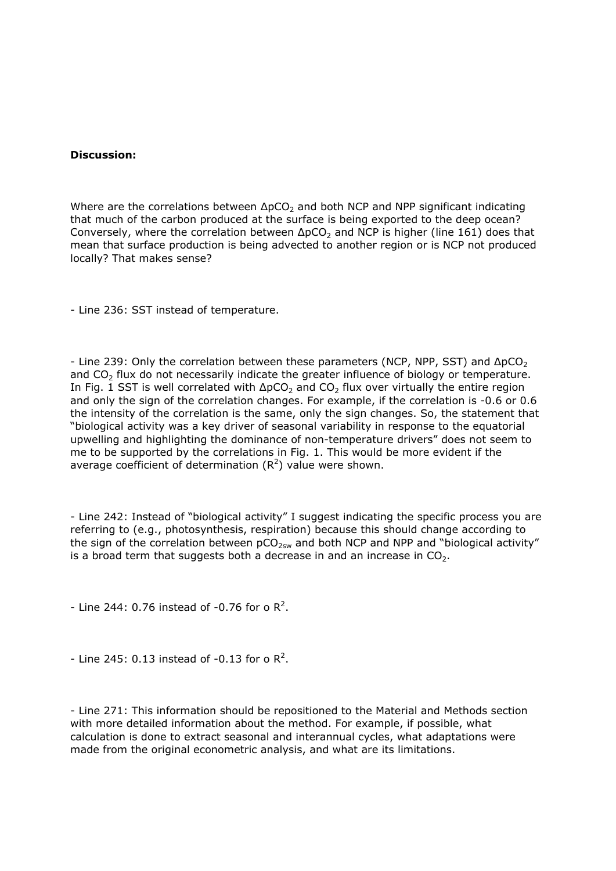#### **Discussion:**

Where are the correlations between  $\Delta pCO_2$  and both NCP and NPP significant indicating that much of the carbon produced at the surface is being exported to the deep ocean? Conversely, where the correlation between  $\Delta pCO_2$  and NCP is higher (line 161) does that mean that surface production is being advected to another region or is NCP not produced locally? That makes sense?

- Line 236: SST instead of temperature.

- Line 239: Only the correlation between these parameters (NCP, NPP, SST) and  $\Delta pCO<sub>2</sub>$ and  $CO<sub>2</sub>$  flux do not necessarily indicate the greater influence of biology or temperature. In Fig. 1 SST is well correlated with  $ΔpCO<sub>2</sub>$  and  $CO<sub>2</sub>$  flux over virtually the entire region and only the sign of the correlation changes. For example, if the correlation is -0.6 or 0.6 the intensity of the correlation is the same, only the sign changes. So, the statement that "biological activity was a key driver of seasonal variability in response to the equatorial upwelling and highlighting the dominance of non-temperature drivers" does not seem to me to be supported by the correlations in Fig. 1. This would be more evident if the average coefficient of determination  $(R^2)$  value were shown.

- Line 242: Instead of "biological activity" I suggest indicating the specific process you are referring to (e.g., photosynthesis, respiration) because this should change according to the sign of the correlation between  $pCO_{2sw}$  and both NCP and NPP and "biological activity" is a broad term that suggests both a decrease in and an increase in  $CO<sub>2</sub>$ .

- Line 244: 0.76 instead of -0.76 for o  $\mathbb{R}^2$ .

- Line 245: 0.13 instead of -0.13 for o  $\mathsf{R}^2$ .

- Line 271: This information should be repositioned to the Material and Methods section with more detailed information about the method. For example, if possible, what calculation is done to extract seasonal and interannual cycles, what adaptations were made from the original econometric analysis, and what are its limitations.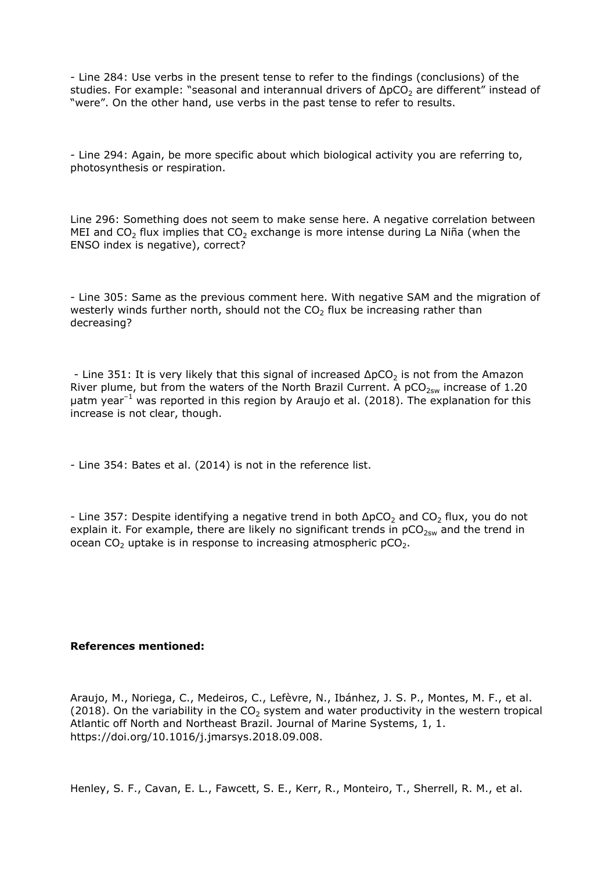- Line 284: Use verbs in the present tense to refer to the findings (conclusions) of the studies. For example: "seasonal and interannual drivers of  $\Delta pCO<sub>2</sub>$  are different" instead of "were". On the other hand, use verbs in the past tense to refer to results.

- Line 294: Again, be more specific about which biological activity you are referring to, photosynthesis or respiration.

Line 296: Something does not seem to make sense here. A negative correlation between MEI and CO<sub>2</sub> flux implies that CO<sub>2</sub> exchange is more intense during La Niña (when the ENSO index is negative), correct?

- Line 305: Same as the previous comment here. With negative SAM and the migration of westerly winds further north, should not the  $CO<sub>2</sub>$  flux be increasing rather than decreasing?

- Line 351: It is very likely that this signal of increased  $\Delta pCO_2$  is not from the Amazon River plume, but from the waters of the North Brazil Current. A  $pCO<sub>2sw</sub>$  increase of 1.20  $\mu$ atm year<sup>-1</sup> was reported in this region by Araujo et al. (2018). The explanation for this increase is not clear, though.

- Line 354: Bates et al. (2014) is not in the reference list.

- Line 357: Despite identifying a negative trend in both  $\Delta pCO_2$  and  $CO_2$  flux, you do not explain it. For example, there are likely no significant trends in  $pCO_{2sw}$  and the trend in ocean  $CO<sub>2</sub>$  uptake is in response to increasing atmospheric  $pCO<sub>2</sub>$ .

#### **References mentioned:**

Araujo, M., Noriega, C., Medeiros, C., Lefèvre, N., Ibánhez, J. S. P., Montes, M. F., et al. (2018). On the variability in the  $CO<sub>2</sub>$  system and water productivity in the western tropical Atlantic off North and Northeast Brazil. Journal of Marine Systems, 1, 1. https://doi.org/10.1016/j.jmarsys.2018.09.008.

Henley, S. F., Cavan, E. L., Fawcett, S. E., Kerr, R., Monteiro, T., Sherrell, R. M., et al.